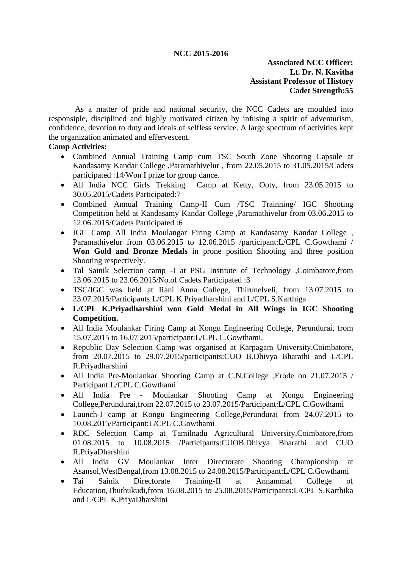#### **NCC 2015-2016**

### **Associated NCC Officer: Lt. Dr. N. Kavitha Assistant Professor of History Cadet Strength:55**

As a matter of pride and national security, the NCC Cadets are moulded into responsiple, disciplined and highly motivated citizen by infusing a spirit of adventurism, confidence, devotion to duty and ideals of selfless service. A large spectrum of activities kept the organization animated and effervescent.

#### **Camp Activities:**

- Combined Annual Training Camp cum TSC South Zone Shooting Capsule at Kandasamy Kandar College ,Paramathivelur , from 22.05.2015 to 31.05.2015/Cadets participated :14/Won I prize for group dance.
- All India NCC Girls Trekking Camp at Ketty, Ooty, from 23.05.2015 to 30.05.2015/Cadets Participated:7
- Combined Annual Training Camp-II Cum /TSC Trainning/ IGC Shooting Competition held at Kandasamy Kandar College ,Paramathivelur from 03.06.2015 to 12.06.2015/Cadets Participated :6
- IGC Camp All India Moulangar Firing Camp at Kandasamy Kandar College , Paramathivelur from 03.06.2015 to 12.06.2015 /participant:L/CPL C.Gowthami / **Won Gold and Bronze Medals** in prone position Shooting and three position Shooting respectively.
- Tal Sainik Selection camp -I at PSG Institute of Technology , Coimbatore, from 13.06.2015 to 23.06.2015/No.of Cadets Participated :3
- TSC/IGC was held at Rani Anna College, Thirunelveli, from 13.07.2015 to 23.07.2015/Participants:L/CPL K.Priyadharshini and L/CPL S.Karthiga
- **L/CPL K.Priyadharshini won Gold Medal in All Wings in IGC Shooting Competition.**
- All India Moulankar Firing Camp at Kongu Engineering College, Perundurai, from 15.07.2015 to 16.07 2015/participant:L/CPL C.Gowthami.
- Republic Day Selection Camp was organised at Karpagam University,Coimbatore, from 20.07.2015 to 29.07.2015/participants:CUO B.Dhivya Bharathi and L/CPL R.Priyadharshini
- All India Pre-Moulankar Shooting Camp at C.N.College ,Erode on 21.07.2015 / Participant:L/CPL C.Gowthami
- All India Pre Moulankar Shooting Camp at Kongu Engineering College,Perundurai,from 22.07.2015 to 23.07.2015/Participant:L/CPL C.Gowthami
- Launch-I camp at Kongu Engineering College, Perundurai from 24,07,2015 to 10.08.2015/Participant:L/CPL C.Gowthami
- RDC Selection Camp at Tamilnadu Agricultural University,Coimbatore,from 01.08.2015 to 10.08.2015 /Participants:CUOB.Dhivya Bharathi and CUO R.PriyaDharshini
- All India GV Moulankar Inter Directorate Shooting Championship at Asansol,WestBengal,from 13.08.2015 to 24.08.2015/Participant:L/CPL C.Gowthami
- Tai Sainik Directorate Training-II at Annammal College of Education,Thuthukudi,from 16.08.2015 to 25.08.2015/Participants:L/CPL S.Karthika and L/CPL K.PriyaDharshini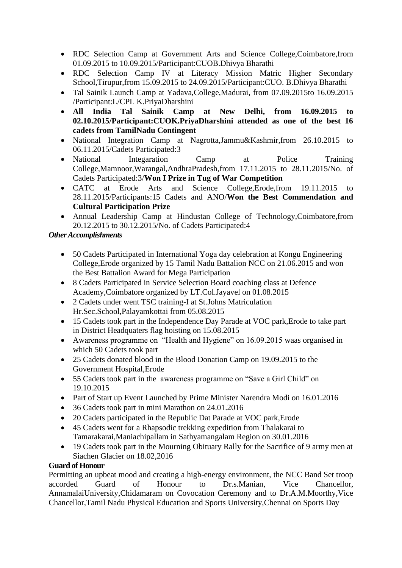- RDC Selection Camp at Government Arts and Science College,Coimbatore,from 01.09.2015 to 10.09.2015/Participant:CUOB.Dhivya Bharathi
- RDC Selection Camp IV at Literacy Mission Matric Higher Secondary School,Tirupur,from 15.09.2015 to 24.09.2015/Participant:CUO. B.Dhivya Bharathi
- Tal Sainik Launch Camp at Yadava, College, Madurai, from 07.09.2015 to 16.09.2015 /Participant:L/CPL K.PriyaDharshini
- **All India Tal Sainik Camp at New Delhi, from 16.09.2015 to 02.10.2015/Participant:CUOK.PriyaDharshini attended as one of the best 16 cadets from TamilNadu Contingent**
- National Integration Camp at Nagrotta,Jammu&Kashmir,from 26.10.2015 to 06.11.2015/Cadets Participated:3
- National Integaration Camp at Police Training College,Mamnoor,Warangal,AndhraPradesh,from 17.11.2015 to 28.11.2015/No. of Cadets Participated:3/**Won I Prize in Tug of War Competition**
- CATC at Erode Arts and Science College,Erode,from 19.11.2015 to 28.11.2015/Participants:15 Cadets and ANO/**Won the Best Commendation and Cultural Participation Prize**
- Annual Leadership Camp at Hindustan College of Technology,Coimbatore,from 20.12.2015 to 30.12.2015/No. of Cadets Participated:4

# *Other Accomplishments*

- 50 Cadets Participated in International Yoga day celebration at Kongu Engineering College,Erode organized by 15 Tamil Nadu Battalion NCC on 21.06.2015 and won the Best Battalion Award for Mega Participation
- 8 Cadets Participated in Service Selection Board coaching class at Defence Academy,Coimbatore organized by LT.Col.Jayavel on 01.08.2015
- 2 Cadets under went TSC training-I at St.Johns Matriculation Hr.Sec.School,Palayamkottai from 05.08.2015
- 15 Cadets took part in the Independence Day Parade at VOC park, Erode to take part in District Headquaters flag hoisting on 15.08.2015
- Awareness programme on "Health and Hygiene" on 16.09.2015 waas organised in which 50 Cadets took part
- 25 Cadets donated blood in the Blood Donation Camp on 19.09.2015 to the Government Hospital,Erode
- 55 Cadets took part in the awareness programme on "Save a Girl Child" on 19.10.2015
- Part of Start up Event Launched by Prime Minister Narendra Modi on 16.01.2016
- 36 Cadets took part in mini Marathon on 24.01.2016
- 20 Cadets participated in the Republic Dat Parade at VOC park, Erode
- 45 Cadets went for a Rhapsodic trekking expedition from Thalakarai to Tamarakarai,Maniachipallam in Sathyamangalam Region on 30.01.2016
- 19 Cadets took part in the Mourning Obituary Rally for the Sacrifice of 9 army men at Siachen Glacier on 18.02,2016

# **Guard of Honour**

Permitting an upbeat mood and creating a high-energy environment, the NCC Band Set troop accorded Guard of Honour to Dr.s.Manian, Vice Chancellor, AnnamalaiUniversity,Chidamaram on Covocation Ceremony and to Dr.A.M.Moorthy,Vice Chancellor,Tamil Nadu Physical Education and Sports University,Chennai on Sports Day